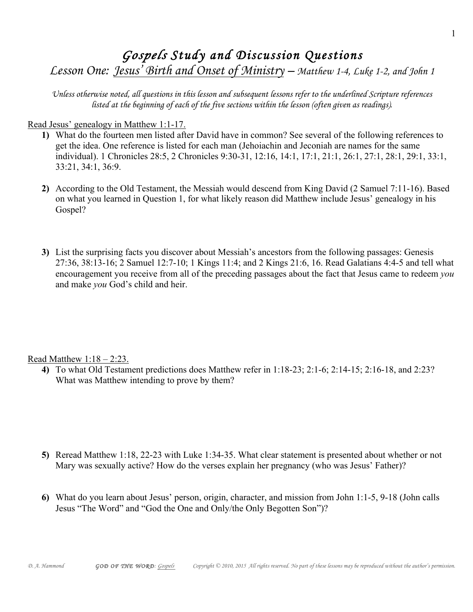## Gospels Study and Discussion Questions

Lesson One: Jesus' Birth and Onset of Ministry – Matthew 1-4, Luke 1-2, and John 1

Unless otherwise noted, all questions in this lesson and subsequent lessons refer to the underlined Scripture references listed at the beginning of each of the five sections within the lesson (often given as readings).

Read Jesus' genealogy in Matthew 1:1-17.

- **1)** What do the fourteen men listed after David have in common? See several of the following references to get the idea. One reference is listed for each man (Jehoiachin and Jeconiah are names for the same individual). 1 Chronicles 28:5, 2 Chronicles 9:30-31, 12:16, 14:1, 17:1, 21:1, 26:1, 27:1, 28:1, 29:1, 33:1, 33:21, 34:1, 36:9.
- **2)** According to the Old Testament, the Messiah would descend from King David (2 Samuel 7:11-16). Based on what you learned in Question 1, for what likely reason did Matthew include Jesus' genealogy in his Gospel?
- **3)** List the surprising facts you discover about Messiah's ancestors from the following passages: Genesis 27:36, 38:13-16; 2 Samuel 12:7-10; 1 Kings 11:4; and 2 Kings 21:6, 16. Read Galatians 4:4-5 and tell what encouragement you receive from all of the preceding passages about the fact that Jesus came to redeem *you* and make *you* God's child and heir.

Read Matthew 1:18 – 2:23.

**4)** To what Old Testament predictions does Matthew refer in 1:18-23; 2:1-6; 2:14-15; 2:16-18, and 2:23? What was Matthew intending to prove by them?

- **5)** Reread Matthew 1:18, 22-23 with Luke 1:34-35. What clear statement is presented about whether or not Mary was sexually active? How do the verses explain her pregnancy (who was Jesus' Father)?
- **6)** What do you learn about Jesus' person, origin, character, and mission from John 1:1-5, 9-18 (John calls Jesus "The Word" and "God the One and Only/the Only Begotten Son")?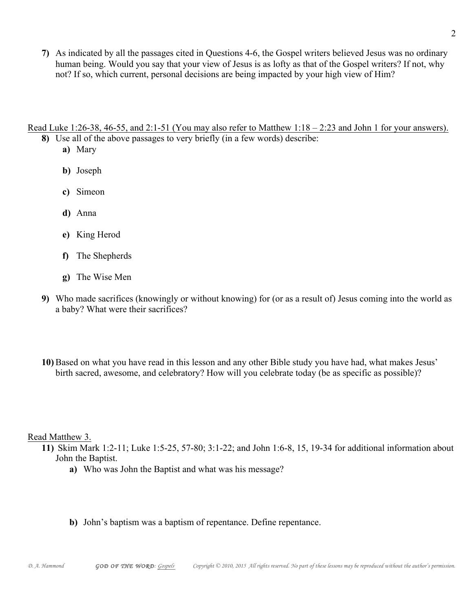**7)** As indicated by all the passages cited in Questions 4-6, the Gospel writers believed Jesus was no ordinary human being. Would you say that your view of Jesus is as lofty as that of the Gospel writers? If not, why not? If so, which current, personal decisions are being impacted by your high view of Him?

Read Luke 1:26-38, 46-55, and 2:1-51 (You may also refer to Matthew 1:18 – 2:23 and John 1 for your answers).

- **8)** Use all of the above passages to very briefly (in a few words) describe:
	- **a)** Mary
	- **b)** Joseph
	- **c)** Simeon
	- **d)** Anna
	- **e)** King Herod
	- **f)** The Shepherds
	- **g)** The Wise Men
- **9)** Who made sacrifices (knowingly or without knowing) for (or as a result of) Jesus coming into the world as a baby? What were their sacrifices?
- **10)** Based on what you have read in this lesson and any other Bible study you have had, what makes Jesus' birth sacred, awesome, and celebratory? How will you celebrate today (be as specific as possible)?

Read Matthew 3.

- **11)** Skim Mark 1:2-11; Luke 1:5-25, 57-80; 3:1-22; and John 1:6-8, 15, 19-34 for additional information about John the Baptist.
	- **a)** Who was John the Baptist and what was his message?
	- **b)** John's baptism was a baptism of repentance. Define repentance.